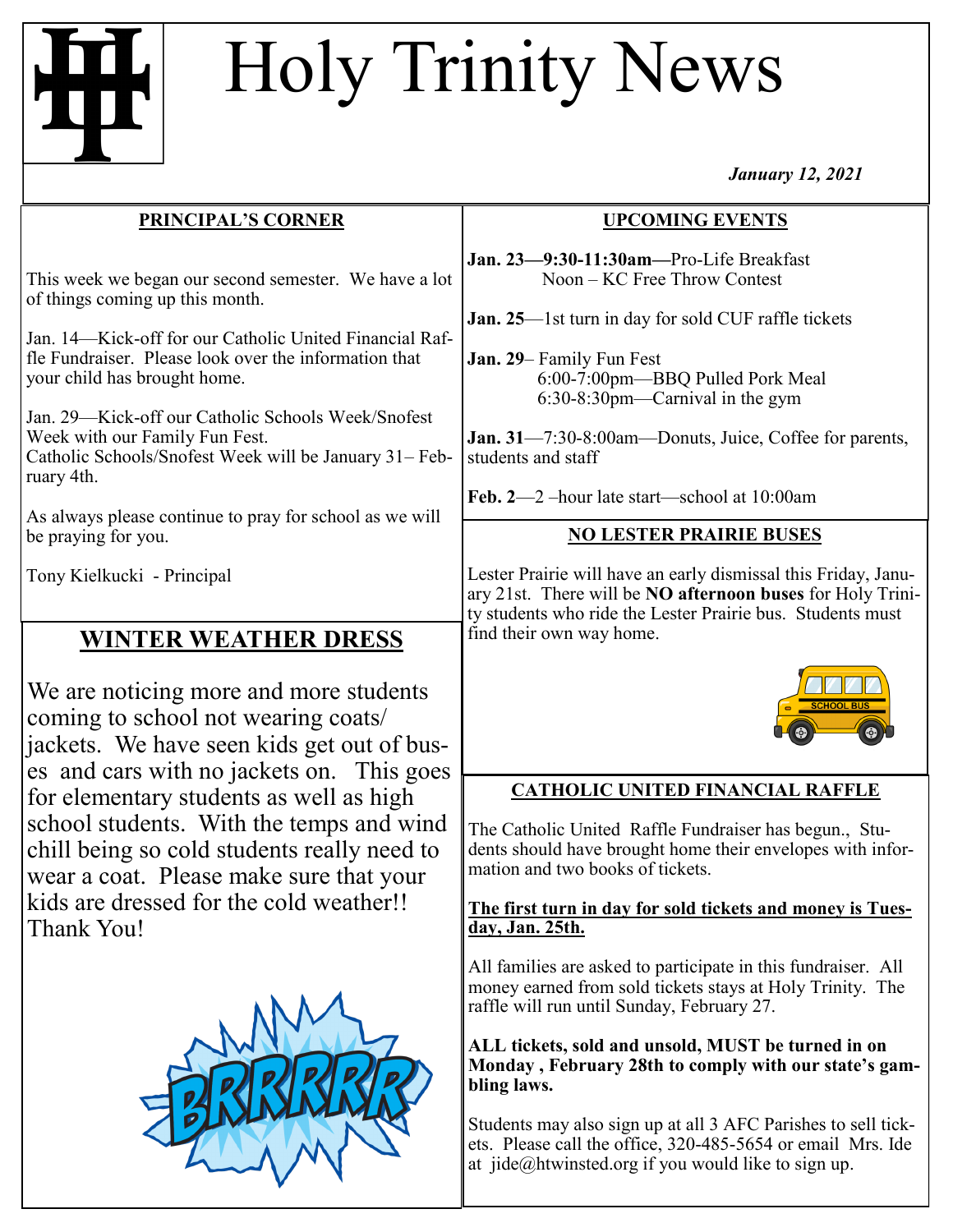# Holy Trinity News

*January 12, 2021*

# **UPCOMING EVENTS**

**Jan. 23—9:30-11:30am—**Pro-Life Breakfast Noon – KC Free Throw Contest

**Jan. 25**—1st turn in day for sold CUF raffle tickets

**Jan. 29**– Family Fun Fest 6:00-7:00pm—BBQ Pulled Pork Meal 6:30-8:30pm—Carnival in the gym

**Jan. 31**—7:30-8:00am—Donuts, Juice, Coffee for parents, students and staff

**Feb. 2**—2 –hour late start—school at 10:00am

# **NO LESTER PRAIRIE BUSES**

Lester Prairie will have an early dismissal this Friday, January 21st. There will be **NO afternoon buses** for Holy Trinity students who ride the Lester Prairie bus. Students must



# **CATHOLIC UNITED FINANCIAL RAFFLE**

The Catholic United Raffle Fundraiser has begun., Students should have brought home their envelopes with information and two books of tickets.

### **The first turn in day for sold tickets and money is Tuesday, Jan. 25th.**

All families are asked to participate in this fundraiser. All money earned from sold tickets stays at Holy Trinity. The raffle will run until Sunday, February 27.

**ALL tickets, sold and unsold, MUST be turned in on Monday , February 28th to comply with our state's gambling laws.** 

Students may also sign up at all 3 AFC Parishes to sell tickets. Please call the office, 320-485-5654 or email Mrs. Ide at jide@htwinsted.org if you would like to sign up.

fle Fundraiser. Please look over the information that your child has brought home. Jan. 29—Kick-off our Catholic Schools Week/Snofest

Week with our Family Fun Fest. Catholic Schools/Snofest Week will be January 31– February 4th.

**PRINCIPAL'S CORNER**

This week we began our second semester. We have a lot

Jan. 14—Kick-off for our Catholic United Financial Raf-

As always please continue to pray for school as we will be praying for you.

Tony Kielkucki - Principal

of things coming up this month.

# **WINTER WEATHER DRESS** find their own way home.

We are noticing more and more students coming to school not wearing coats/ jackets. We have seen kids get out of buses and cars with no jackets on. This goes for elementary students as well as high school students. With the temps and wind chill being so cold students really need to wear a coat. Please make sure that your kids are dressed for the cold weather!! Thank You!